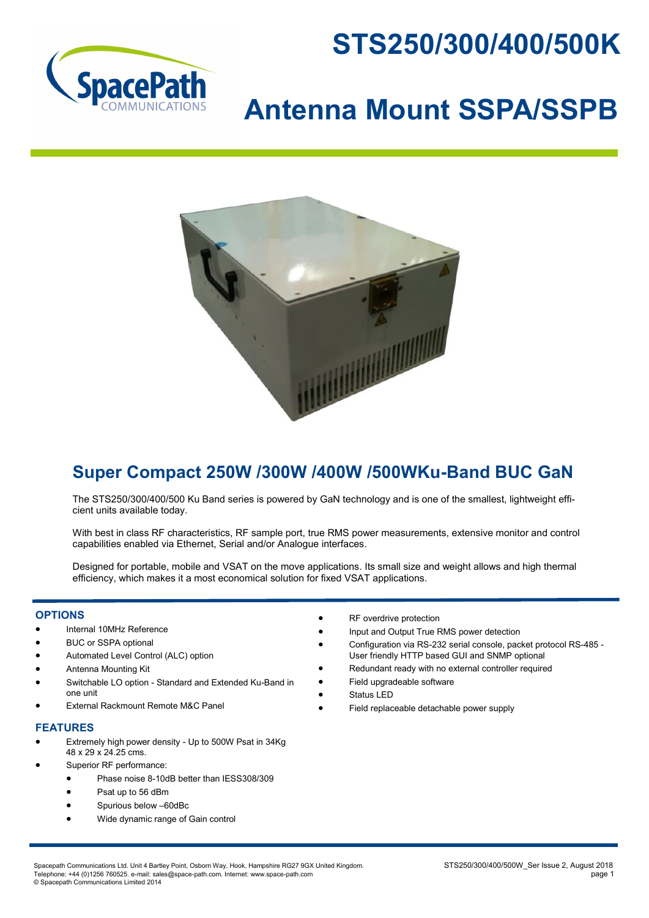



# **Antenna Mount SSPA/SSPB**



## **Super Compact 250W /300W /400W /500WKu-Band BUC GaN**

The STS250/300/400/500 Ku Band series is powered by GaN technology and is one of the smallest, lightweight efficient units available today.

With best in class RF characteristics, RF sample port, true RMS power measurements, extensive monitor and control capabilities enabled via Ethernet, Serial and/or Analogue interfaces.

Designed for portable, mobile and VSAT on the move applications. Its small size and weight allows and high thermal efficiency, which makes it a most economical solution for fixed VSAT applications.

#### **OPTIONS**

- Internal 10MHz Reference
- BUC or SSPA optional
- Automated Level Control (ALC) option
- Antenna Mounting Kit
- Switchable LO option Standard and Extended Ku-Band in one unit
- External Rackmount Remote M&C Panel

#### **FEATURES**

- Extremely high power density Up to 500W Psat in 34Kg 48 x 29 x 24.25 cms.
- Superior RF performance:
	- Phase noise 8-10dB better than IESS308/309
	- Psat up to 56 dBm
	- Spurious below –60dBc
	- Wide dynamic range of Gain control
- RF overdrive protection
- Input and Output True RMS power detection
	- Configuration via RS-232 serial console, packet protocol RS-485 User friendly HTTP based GUI and SNMP optional
	- Redundant ready with no external controller required
	- Field upgradeable software
	- Status LED
- Field replaceable detachable power supply

Spacepath Communications Ltd. Unit 4 Bartley Point, Osborn Way, Hook, Hampshire RG27 9GX United Kingdom.<br>Telephone: +44 (0)1256 760525. e-mail: sales@space-path.com. Internet: www.space-path.com Telephone: +44 (0)1256 760525. e-mail: sales@space-path.com. Internet: www.space-path.com © Spacepath Communications Limited 2014